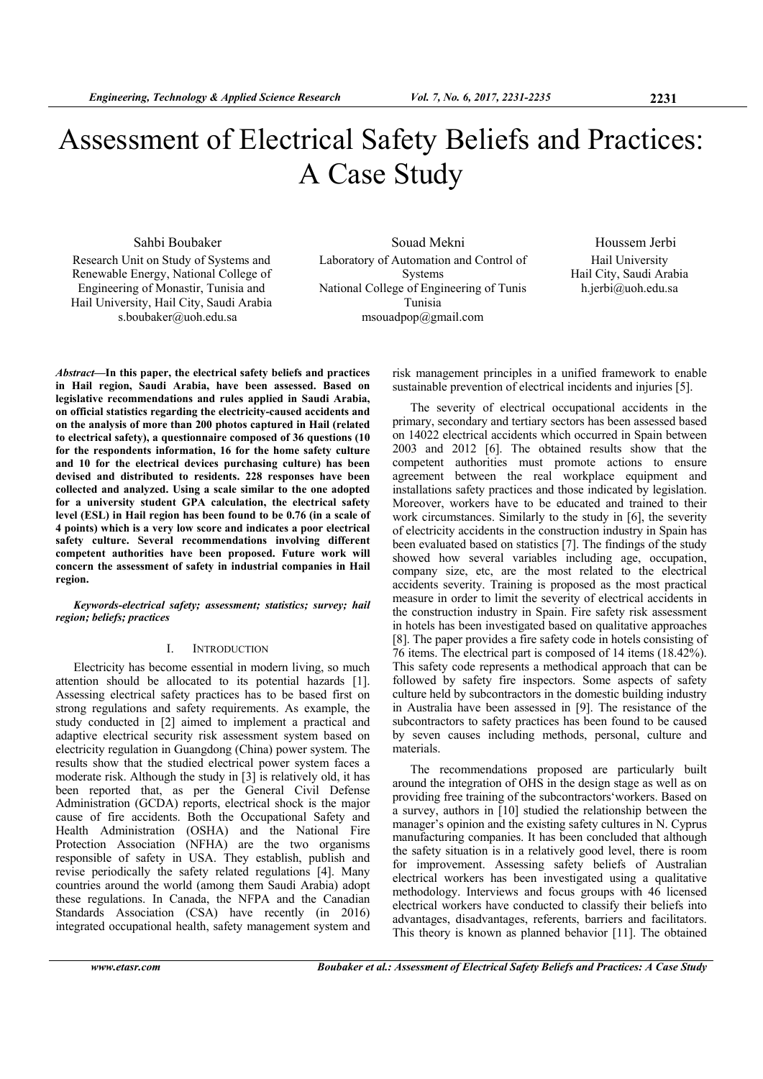# Assessment of Electrical Safety Beliefs and Practices: A Case Study

Research Unit on Study of Systems and Renewable Energy, National College of Engineering of Monastir, Tunisia and Hail University, Hail City, Saudi Arabia s.boubaker@uoh.edu.sa

Sahbi Boubaker Souad Mekni Houssem Jerbi Laboratory of Automation and Control of Systems National College of Engineering of Tunis Tunisia msouadpop@gmail.com

Hail University Hail City, Saudi Arabia h.jerbi@uoh.edu.sa

*Abstract***—In this paper, the electrical safety beliefs and practices in Hail region, Saudi Arabia, have been assessed. Based on legislative recommendations and rules applied in Saudi Arabia, on official statistics regarding the electricity-caused accidents and on the analysis of more than 200 photos captured in Hail (related to electrical safety), a questionnaire composed of 36 questions (10 for the respondents information, 16 for the home safety culture and 10 for the electrical devices purchasing culture) has been devised and distributed to residents. 228 responses have been collected and analyzed. Using a scale similar to the one adopted for a university student GPA calculation, the electrical safety level (ESL) in Hail region has been found to be 0.76 (in a scale of 4 points) which is a very low score and indicates a poor electrical safety culture. Several recommendations involving different competent authorities have been proposed. Future work will concern the assessment of safety in industrial companies in Hail region.** 

*Keywords-electrical safety; assessment; statistics; survey; hail region; beliefs; practices* 

#### I. INTRODUCTION

Electricity has become essential in modern living, so much attention should be allocated to its potential hazards [1]. Assessing electrical safety practices has to be based first on strong regulations and safety requirements. As example, the study conducted in [2] aimed to implement a practical and adaptive electrical security risk assessment system based on electricity regulation in Guangdong (China) power system. The results show that the studied electrical power system faces a moderate risk. Although the study in [3] is relatively old, it has been reported that, as per the General Civil Defense Administration (GCDA) reports, electrical shock is the major cause of fire accidents. Both the Occupational Safety and Health Administration (OSHA) and the National Fire Protection Association (NFHA) are the two organisms responsible of safety in USA. They establish, publish and revise periodically the safety related regulations [4]. Many countries around the world (among them Saudi Arabia) adopt these regulations. In Canada, the NFPA and the Canadian Standards Association (CSA) have recently (in 2016) integrated occupational health, safety management system and

risk management principles in a unified framework to enable sustainable prevention of electrical incidents and injuries [5].

The severity of electrical occupational accidents in the primary, secondary and tertiary sectors has been assessed based on 14022 electrical accidents which occurred in Spain between 2003 and 2012 [6]. The obtained results show that the competent authorities must promote actions to ensure agreement between the real workplace equipment and installations safety practices and those indicated by legislation. Moreover, workers have to be educated and trained to their work circumstances. Similarly to the study in [6], the severity of electricity accidents in the construction industry in Spain has been evaluated based on statistics [7]. The findings of the study showed how several variables including age, occupation, company size, etc, are the most related to the electrical accidents severity. Training is proposed as the most practical measure in order to limit the severity of electrical accidents in the construction industry in Spain. Fire safety risk assessment in hotels has been investigated based on qualitative approaches [8]. The paper provides a fire safety code in hotels consisting of 76 items. The electrical part is composed of 14 items (18.42%). This safety code represents a methodical approach that can be followed by safety fire inspectors. Some aspects of safety culture held by subcontractors in the domestic building industry in Australia have been assessed in [9]. The resistance of the subcontractors to safety practices has been found to be caused by seven causes including methods, personal, culture and materials.

The recommendations proposed are particularly built around the integration of OHS in the design stage as well as on providing free training of the subcontractors'workers. Based on a survey, authors in [10] studied the relationship between the manager's opinion and the existing safety cultures in N. Cyprus manufacturing companies. It has been concluded that although the safety situation is in a relatively good level, there is room for improvement. Assessing safety beliefs of Australian electrical workers has been investigated using a qualitative methodology. Interviews and focus groups with 46 licensed electrical workers have conducted to classify their beliefs into advantages, disadvantages, referents, barriers and facilitators. This theory is known as planned behavior [11]. The obtained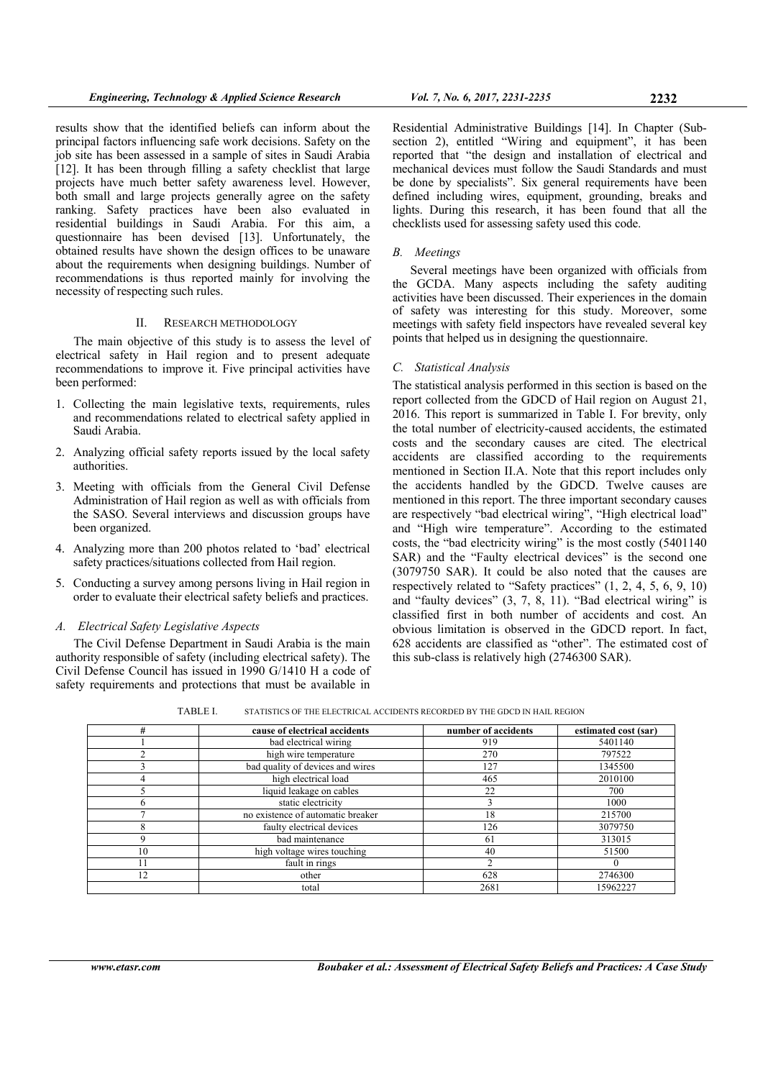results show that the identified beliefs can inform about the principal factors influencing safe work decisions. Safety on the job site has been assessed in a sample of sites in Saudi Arabia [12]. It has been through filling a safety checklist that large projects have much better safety awareness level. However, both small and large projects generally agree on the safety ranking. Safety practices have been also evaluated in residential buildings in Saudi Arabia. For this aim, a questionnaire has been devised [13]. Unfortunately, the obtained results have shown the design offices to be unaware about the requirements when designing buildings. Number of recommendations is thus reported mainly for involving the necessity of respecting such rules.

#### II. RESEARCH METHODOLOGY

The main objective of this study is to assess the level of electrical safety in Hail region and to present adequate recommendations to improve it. Five principal activities have been performed:

- 1. Collecting the main legislative texts, requirements, rules and recommendations related to electrical safety applied in Saudi Arabia.
- 2. Analyzing official safety reports issued by the local safety authorities.
- 3. Meeting with officials from the General Civil Defense Administration of Hail region as well as with officials from the SASO. Several interviews and discussion groups have been organized.
- 4. Analyzing more than 200 photos related to 'bad' electrical safety practices/situations collected from Hail region.
- 5. Conducting a survey among persons living in Hail region in order to evaluate their electrical safety beliefs and practices.

## *A. Electrical Safety Legislative Aspects*

The Civil Defense Department in Saudi Arabia is the main authority responsible of safety (including electrical safety). The Civil Defense Council has issued in 1990 G/1410 H a code of safety requirements and protections that must be available in

Residential Administrative Buildings [14]. In Chapter (Subsection 2), entitled "Wiring and equipment", it has been reported that "the design and installation of electrical and mechanical devices must follow the Saudi Standards and must be done by specialists". Six general requirements have been defined including wires, equipment, grounding, breaks and lights. During this research, it has been found that all the checklists used for assessing safety used this code.

#### *B. Meetings*

Several meetings have been organized with officials from the GCDA. Many aspects including the safety auditing activities have been discussed. Their experiences in the domain of safety was interesting for this study. Moreover, some meetings with safety field inspectors have revealed several key points that helped us in designing the questionnaire.

## *C. Statistical Analysis*

The statistical analysis performed in this section is based on the report collected from the GDCD of Hail region on August 21, 2016. This report is summarized in Table I. For brevity, only the total number of electricity-caused accidents, the estimated costs and the secondary causes are cited. The electrical accidents are classified according to the requirements mentioned in Section II.A. Note that this report includes only the accidents handled by the GDCD. Twelve causes are mentioned in this report. The three important secondary causes are respectively "bad electrical wiring", "High electrical load" and "High wire temperature". According to the estimated costs, the "bad electricity wiring" is the most costly (5401140 SAR) and the "Faulty electrical devices" is the second one (3079750 SAR). It could be also noted that the causes are respectively related to "Safety practices" (1, 2, 4, 5, 6, 9, 10) and "faulty devices" (3, 7, 8, 11). "Bad electrical wiring" is classified first in both number of accidents and cost. An obvious limitation is observed in the GDCD report. In fact, 628 accidents are classified as "other". The estimated cost of this sub-class is relatively high (2746300 SAR).

TABLE I. STATISTICS OF THE ELECTRICAL ACCIDENTS RECORDED BY THE GDCD IN HAIL REGION

| #  | cause of electrical accidents     | number of accidents | estimated cost (sar) |
|----|-----------------------------------|---------------------|----------------------|
|    | bad electrical wiring             | 919                 | 5401140              |
| ⌒  | high wire temperature             | 270                 | 797522               |
|    | bad quality of devices and wires  | 127                 | 1345500              |
| 4  | high electrical load              | 465                 | 2010100              |
|    | liquid leakage on cables          | 22                  | 700                  |
| n  | static electricity                |                     | 1000                 |
|    | no existence of automatic breaker | 18                  | 215700               |
| 8  | faulty electrical devices         | 126                 | 3079750              |
| 9  | bad maintenance                   | 61                  | 313015               |
| 10 | high voltage wires touching       | 40                  | 51500                |
| 11 | fault in rings                    |                     |                      |
| 12 | other                             | 628                 | 2746300              |
|    | total                             | 2681                | 15962227             |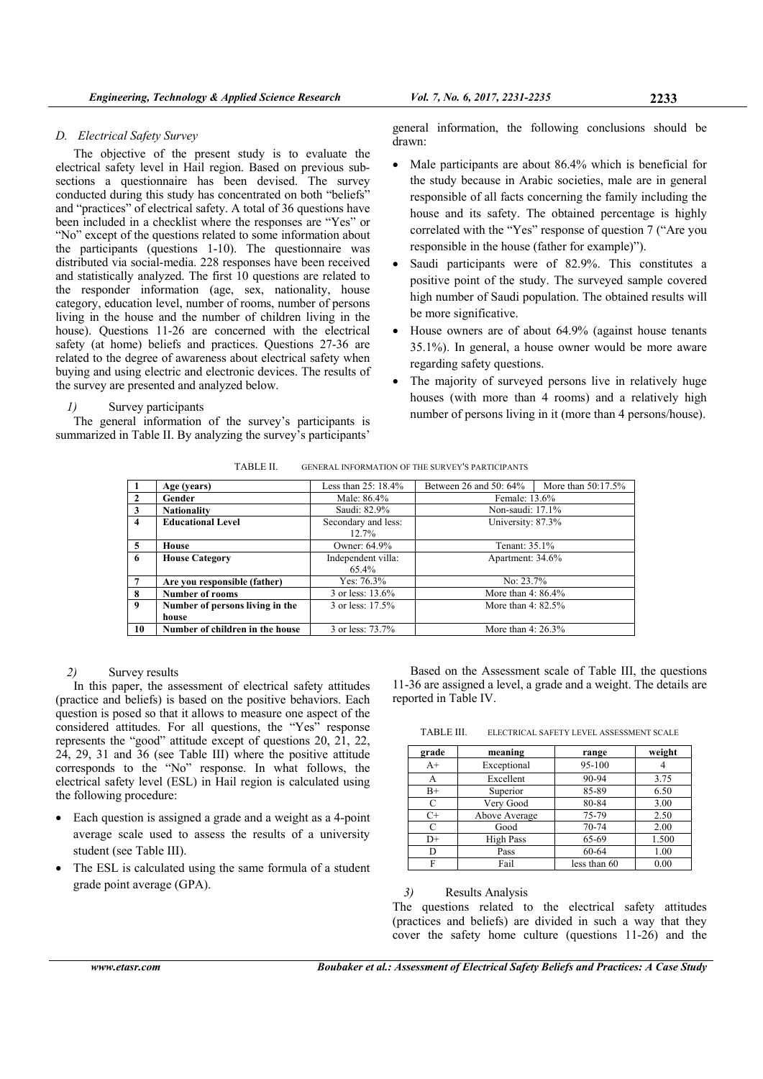## *D. Electrical Safety Survey*

The objective of the present study is to evaluate the electrical safety level in Hail region. Based on previous subsections a questionnaire has been devised. The survey conducted during this study has concentrated on both "beliefs" and "practices" of electrical safety. A total of 36 questions have been included in a checklist where the responses are "Yes" or "No" except of the questions related to some information about the participants (questions 1-10). The questionnaire was distributed via social-media. 228 responses have been received and statistically analyzed. The first 10 questions are related to the responder information (age, sex, nationality, house category, education level, number of rooms, number of persons living in the house and the number of children living in the house). Questions 11-26 are concerned with the electrical safety (at home) beliefs and practices. Questions 27-36 are related to the degree of awareness about electrical safety when buying and using electric and electronic devices. The results of the survey are presented and analyzed below.

## *1)* Survey participants

The general information of the survey's participants is summarized in Table II. By analyzing the survey's participants'

general information, the following conclusions should be drawn:

- Male participants are about 86.4% which is beneficial for the study because in Arabic societies, male are in general responsible of all facts concerning the family including the house and its safety. The obtained percentage is highly correlated with the "Yes" response of question 7 ("Are you responsible in the house (father for example)").
- Saudi participants were of 82.9%. This constitutes a positive point of the study. The surveyed sample covered high number of Saudi population. The obtained results will be more significative.
- House owners are of about 64.9% (against house tenants 35.1%). In general, a house owner would be more aware regarding safety questions.
- The majority of surveyed persons live in relatively huge houses (with more than 4 rooms) and a relatively high number of persons living in it (more than 4 persons/house).

| TABLE II. | GENERAL INFORMATION OF THE SURVEY'S PARTICIPANTS |
|-----------|--------------------------------------------------|
|           |                                                  |

|                | Age (years)                     | Less than $25:18.4\%$ | Between 26 and 50: 64% | More than $50:17.5\%$ |
|----------------|---------------------------------|-----------------------|------------------------|-----------------------|
| $\overline{2}$ | Gender                          | Male: 86.4%           | Female: 13.6%          |                       |
| $\mathbf{3}$   | <b>Nationality</b>              | Saudi: 82.9%          | Non-saudi: 17.1%       |                       |
| $\overline{4}$ | <b>Educational Level</b>        | Secondary and less:   | University: 87.3%      |                       |
|                |                                 | $12.7\%$              |                        |                       |
| 5 <sup>5</sup> | House                           | Owner: 64.9%          | Tenant: 35.1%          |                       |
| -6             | <b>House Category</b>           | Independent villa:    | Apartment: 34.6%       |                       |
|                |                                 | 65.4%                 |                        |                       |
| $\overline{7}$ | Are you responsible (father)    | Yes: $76.3\%$         | No: $23.7\%$           |                       |
| 8              | <b>Number of rooms</b>          | 3 or less: 13.6%      | More than $4:86.4\%$   |                       |
| $\overline{9}$ | Number of persons living in the | 3 or less: 17.5%      | More than $4:82.5\%$   |                       |
|                | house                           |                       |                        |                       |
| 10             | Number of children in the house | 3 or less: 73.7%      | More than $4:26.3\%$   |                       |

## *2)* Survey results

In this paper, the assessment of electrical safety attitudes (practice and beliefs) is based on the positive behaviors. Each question is posed so that it allows to measure one aspect of the considered attitudes. For all questions, the "Yes" response represents the "good" attitude except of questions 20, 21, 22, 24, 29, 31 and 36 (see Table III) where the positive attitude corresponds to the "No" response. In what follows, the electrical safety level (ESL) in Hail region is calculated using the following procedure:

- Each question is assigned a grade and a weight as a 4-point average scale used to assess the results of a university student (see Table III).
- The ESL is calculated using the same formula of a student grade point average (GPA).

Based on the Assessment scale of Table III, the questions 11-36 are assigned a level, a grade and a weight. The details are reported in Table IV.

TABLE III. ELECTRICAL SAFETY LEVEL ASSESSMENT SCALE

| grade       | meaning       | range        | weight |
|-------------|---------------|--------------|--------|
| $A+$        | Exceptional   | 95-100       |        |
| А           | Excellent     | 90-94        | 3.75   |
| $_{\rm B+}$ | Superior      | 85-89        | 6.50   |
| C           | Very Good     | 80-84        | 3.00   |
| $C+$        | Above Average | 75-79        | 2.50   |
| C           | Good          | 70-74        | 2.00   |
| $D+$        | High Pass     | 65-69        | 1.500  |
| D           | Pass          | 60-64        | 1.00   |
| F           | Fail          | less than 60 | 0.00   |

*3)* Results Analysis

The questions related to the electrical safety attitudes (practices and beliefs) are divided in such a way that they cover the safety home culture (questions 11-26) and the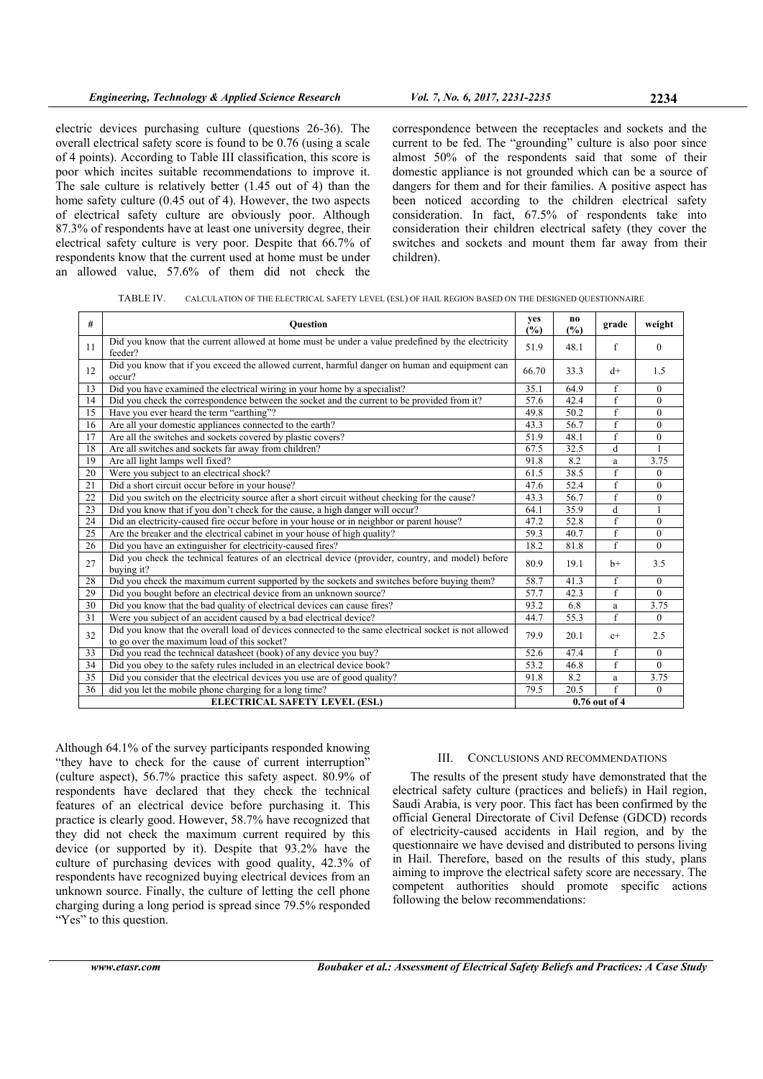electric devices purchasing culture (questions 26-36). The overall electrical safety score is found to be 0.76 (using a scale of 4 points). According to Table III classification, this score is poor which incites suitable recommendations to improve it. The sale culture is relatively better (1.45 out of 4) than the home safety culture (0.45 out of 4). However, the two aspects of electrical safety culture are obviously poor. Although 87.3% of respondents have at least one university degree, their electrical safety culture is very poor. Despite that 66.7% of respondents know that the current used at home must be under an allowed value, 57.6% of them did not check the

correspondence between the receptacles and sockets and the current to be fed. The "grounding" culture is also poor since almost 50% of the respondents said that some of their domestic appliance is not grounded which can be a source of dangers for them and for their families. A positive aspect has been noticed according to the children electrical safety consideration. In fact, 67.5% of respondents take into consideration their children electrical safety (they cover the switches and sockets and mount them far away from their children).

TABLE IV. CALCULATION OF THE ELECTRICAL SAFETY LEVEL (ESL) OF HAIL REGION BASED ON THE DESIGNED QUESTIONNAIRE

| #                                    | <b>Ouestion</b>                                                                                                                                     |               | no.<br>$(\%)$ | grade          | weight       |
|--------------------------------------|-----------------------------------------------------------------------------------------------------------------------------------------------------|---------------|---------------|----------------|--------------|
| 11                                   | Did you know that the current allowed at home must be under a value predefined by the electricity<br>feeder?                                        | 51.9          | 48.1          | f              | $\mathbf{0}$ |
| 12                                   | Did you know that if you exceed the allowed current, harmful danger on human and equipment can<br>occur?                                            | 66.70         | 33.3          | $d+$           | 1.5          |
| 13                                   | Did you have examined the electrical wiring in your home by a specialist?                                                                           | 35.1          | 64.9          | f              | $\theta$     |
| 14                                   | Did you check the correspondence between the socket and the current to be provided from it?                                                         |               | 42.4          | f              | $\mathbf{0}$ |
| 15                                   | Have you ever heard the term "earthing"?                                                                                                            |               | 50.2          | f              | $\mathbf{0}$ |
| 16                                   | Are all your domestic appliances connected to the earth?                                                                                            |               | 56.7          | f              | $\theta$     |
| 17                                   | Are all the switches and sockets covered by plastic covers?                                                                                         |               | 48.1          | f              | $\mathbf{0}$ |
| 18                                   | Are all switches and sockets far away from children?                                                                                                | 67.5          | 32.5          | d              | $\mathbf{1}$ |
| 19                                   | Are all light lamps well fixed?                                                                                                                     | 91.8          | 8.2           | a              | 3.75         |
| 20                                   | Were you subject to an electrical shock?                                                                                                            | 61.5          | 38.5          | $\overline{f}$ | $\mathbf{0}$ |
| 21                                   | Did a short circuit occur before in your house?                                                                                                     | 47.6          | 52.4          | f              | $\mathbf{0}$ |
| 22                                   | Did you switch on the electricity source after a short circuit without checking for the cause?                                                      | 43.3          | 56.7          | f              | $\mathbf{0}$ |
| 23                                   | Did you know that if you don't check for the cause, a high danger will occur?                                                                       | 64.1          | 35.9          | d              | $\mathbf{1}$ |
| 24                                   | Did an electricity-caused fire occur before in your house or in neighbor or parent house?                                                           | 47.2          | 52.8          | $\mathbf{f}$   | $\theta$     |
| 25                                   | Are the breaker and the electrical cabinet in your house of high quality?                                                                           | 59.3          | 40.7          | f              | $\mathbf{0}$ |
| 26                                   | Did you have an extinguisher for electricity-caused fires?                                                                                          | 18.2          | 81.8          | f              | $\theta$     |
| 27                                   | Did you check the technical features of an electrical device (provider, country, and model) before<br>buying it?                                    | 80.9          | 19.1          | $h+$           | 3.5          |
| 28                                   | Did you check the maximum current supported by the sockets and switches before buying them?                                                         | 58.7          | 41.3          | f              | $\mathbf{0}$ |
| 29                                   | Did you bought before an electrical device from an unknown source?                                                                                  | 57.7          | 42.3          | f              | $\theta$     |
| 30                                   | Did you know that the bad quality of electrical devices can cause fires?                                                                            | 93.2          | 6.8           | a              | 3.75         |
| 31                                   | Were you subject of an accident caused by a bad electrical device?                                                                                  | 44.7          | 55.3          | $\mathbf{f}$   | $\theta$     |
| 32                                   | Did you know that the overall load of devices connected to the same electrical socket is not allowed<br>to go over the maximum load of this socket? | 79.9          | 20.1          | $c+$           | 2.5          |
| 33                                   | Did you read the technical datasheet (book) of any device you buy?                                                                                  | 52.6          | 47.4          | f              | $\mathbf{0}$ |
| 34                                   | Did you obey to the safety rules included in an electrical device book?                                                                             | 53.2          | 46.8          | f              | $\Omega$     |
| 35                                   | Did you consider that the electrical devices you use are of good quality?                                                                           | 91.8          | 8.2           | a              | 3.75         |
| 36                                   | did you let the mobile phone charging for a long time?                                                                                              | 79.5          | 20.5          | f              | $\theta$     |
| <b>ELECTRICAL SAFETY LEVEL (ESL)</b> |                                                                                                                                                     | 0.76 out of 4 |               |                |              |

Although 64.1% of the survey participants responded knowing "they have to check for the cause of current interruption" (culture aspect), 56.7% practice this safety aspect. 80.9% of respondents have declared that they check the technical features of an electrical device before purchasing it. This practice is clearly good. However, 58.7% have recognized that they did not check the maximum current required by this device (or supported by it). Despite that 93.2% have the culture of purchasing devices with good quality, 42.3% of respondents have recognized buying electrical devices from an unknown source. Finally, the culture of letting the cell phone charging during a long period is spread since 79.5% responded "Yes" to this question.

#### III. CONCLUSIONS AND RECOMMENDATIONS

The results of the present study have demonstrated that the electrical safety culture (practices and beliefs) in Hail region, Saudi Arabia, is very poor. This fact has been confirmed by the official General Directorate of Civil Defense (GDCD) records of electricity-caused accidents in Hail region, and by the questionnaire we have devised and distributed to persons living in Hail. Therefore, based on the results of this study, plans aiming to improve the electrical safety score are necessary. The competent authorities should promote specific actions following the below recommendations: